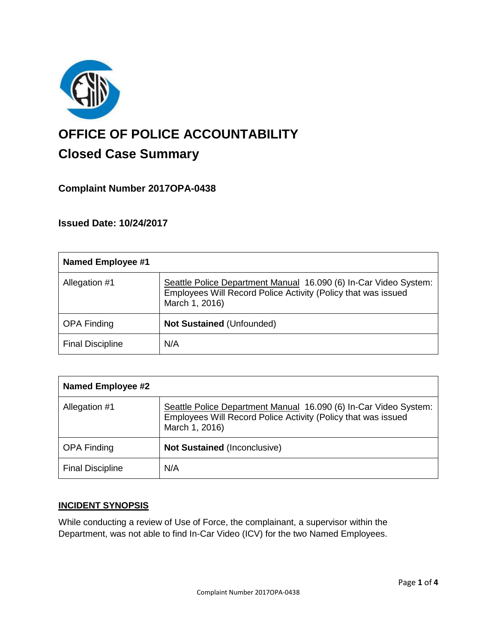

# **OFFICE OF POLICE ACCOUNTABILITY**

# **Closed Case Summary**

# **Complaint Number 2017OPA-0438**

**Issued Date: 10/24/2017**

| <b>Named Employee #1</b> |                                                                                                                                                     |
|--------------------------|-----------------------------------------------------------------------------------------------------------------------------------------------------|
| Allegation #1            | Seattle Police Department Manual 16.090 (6) In-Car Video System:<br>Employees Will Record Police Activity (Policy that was issued<br>March 1, 2016) |
| <b>OPA Finding</b>       | <b>Not Sustained (Unfounded)</b>                                                                                                                    |
| <b>Final Discipline</b>  | N/A                                                                                                                                                 |

| <b>Named Employee #2</b> |                                                                                                                                                     |
|--------------------------|-----------------------------------------------------------------------------------------------------------------------------------------------------|
| Allegation #1            | Seattle Police Department Manual 16.090 (6) In-Car Video System:<br>Employees Will Record Police Activity (Policy that was issued<br>March 1, 2016) |
| <b>OPA Finding</b>       | <b>Not Sustained (Inconclusive)</b>                                                                                                                 |
| <b>Final Discipline</b>  | N/A                                                                                                                                                 |

## **INCIDENT SYNOPSIS**

While conducting a review of Use of Force, the complainant, a supervisor within the Department, was not able to find In-Car Video (ICV) for the two Named Employees.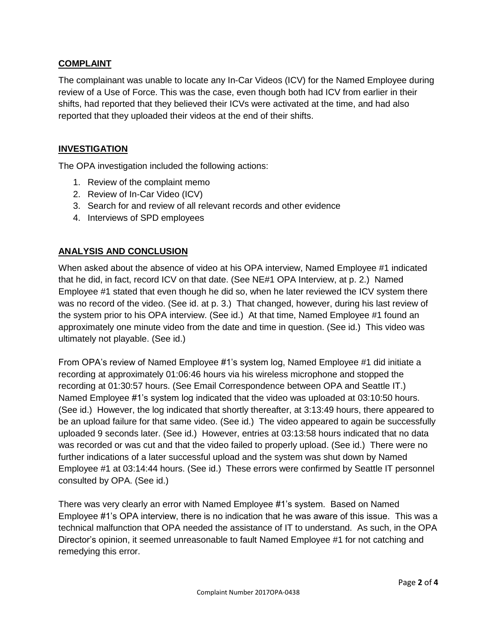#### **COMPLAINT**

The complainant was unable to locate any In-Car Videos (ICV) for the Named Employee during review of a Use of Force. This was the case, even though both had ICV from earlier in their shifts, had reported that they believed their ICVs were activated at the time, and had also reported that they uploaded their videos at the end of their shifts.

#### **INVESTIGATION**

The OPA investigation included the following actions:

- 1. Review of the complaint memo
- 2. Review of In-Car Video (ICV)
- 3. Search for and review of all relevant records and other evidence
- 4. Interviews of SPD employees

## **ANALYSIS AND CONCLUSION**

When asked about the absence of video at his OPA interview, Named Employee #1 indicated that he did, in fact, record ICV on that date. (See NE#1 OPA Interview, at p. 2.) Named Employee #1 stated that even though he did so, when he later reviewed the ICV system there was no record of the video. (See id. at p. 3.) That changed, however, during his last review of the system prior to his OPA interview. (See id.) At that time, Named Employee #1 found an approximately one minute video from the date and time in question. (See id.) This video was ultimately not playable. (See id.)

From OPA's review of Named Employee #1's system log, Named Employee #1 did initiate a recording at approximately 01:06:46 hours via his wireless microphone and stopped the recording at 01:30:57 hours. (See Email Correspondence between OPA and Seattle IT.) Named Employee #1's system log indicated that the video was uploaded at 03:10:50 hours. (See id.) However, the log indicated that shortly thereafter, at 3:13:49 hours, there appeared to be an upload failure for that same video. (See id.) The video appeared to again be successfully uploaded 9 seconds later. (See id.) However, entries at 03:13:58 hours indicated that no data was recorded or was cut and that the video failed to properly upload. (See id.) There were no further indications of a later successful upload and the system was shut down by Named Employee #1 at 03:14:44 hours. (See id.) These errors were confirmed by Seattle IT personnel consulted by OPA. (See id.)

There was very clearly an error with Named Employee #1's system. Based on Named Employee #1's OPA interview, there is no indication that he was aware of this issue. This was a technical malfunction that OPA needed the assistance of IT to understand. As such, in the OPA Director's opinion, it seemed unreasonable to fault Named Employee #1 for not catching and remedying this error.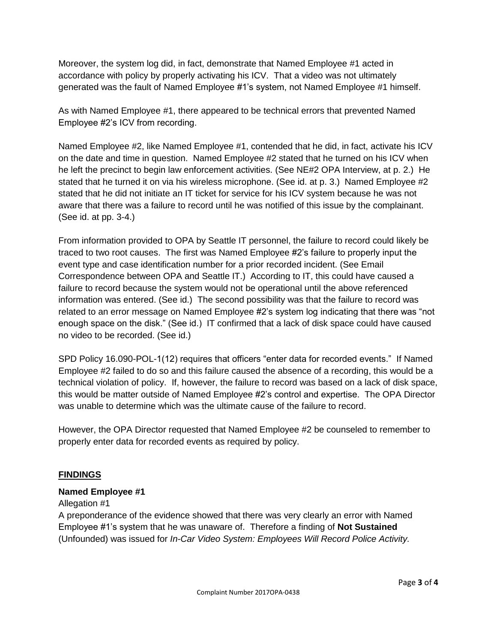Moreover, the system log did, in fact, demonstrate that Named Employee #1 acted in accordance with policy by properly activating his ICV. That a video was not ultimately generated was the fault of Named Employee #1's system, not Named Employee #1 himself.

As with Named Employee #1, there appeared to be technical errors that prevented Named Employee #2's ICV from recording.

Named Employee #2, like Named Employee #1, contended that he did, in fact, activate his ICV on the date and time in question. Named Employee #2 stated that he turned on his ICV when he left the precinct to begin law enforcement activities. (See NE#2 OPA Interview, at p. 2.) He stated that he turned it on via his wireless microphone. (See id. at p. 3.) Named Employee #2 stated that he did not initiate an IT ticket for service for his ICV system because he was not aware that there was a failure to record until he was notified of this issue by the complainant. (See id. at pp. 3-4.)

From information provided to OPA by Seattle IT personnel, the failure to record could likely be traced to two root causes. The first was Named Employee #2's failure to properly input the event type and case identification number for a prior recorded incident. (See Email Correspondence between OPA and Seattle IT.) According to IT, this could have caused a failure to record because the system would not be operational until the above referenced information was entered. (See id.) The second possibility was that the failure to record was related to an error message on Named Employee #2's system log indicating that there was "not enough space on the disk." (See id.) IT confirmed that a lack of disk space could have caused no video to be recorded. (See id.)

SPD Policy 16.090-POL-1(12) requires that officers "enter data for recorded events." If Named Employee #2 failed to do so and this failure caused the absence of a recording, this would be a technical violation of policy. If, however, the failure to record was based on a lack of disk space, this would be matter outside of Named Employee #2's control and expertise. The OPA Director was unable to determine which was the ultimate cause of the failure to record.

However, the OPA Director requested that Named Employee #2 be counseled to remember to properly enter data for recorded events as required by policy.

## **FINDINGS**

#### **Named Employee #1**

#### Allegation #1

A preponderance of the evidence showed that there was very clearly an error with Named Employee #1's system that he was unaware of. Therefore a finding of **Not Sustained** (Unfounded) was issued for *In-Car Video System: Employees Will Record Police Activity.*